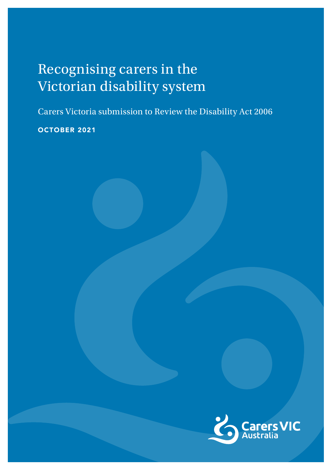# Recognising carers in the Victorian disability system

Carers Victoria submission to Review the Disability Act 2006

OCTOBER 2021

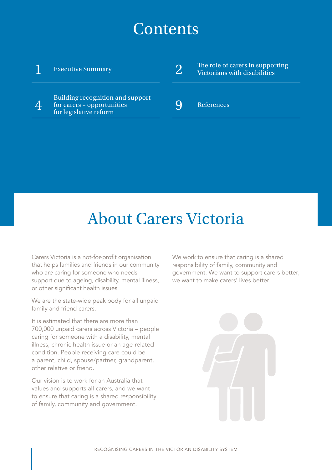# **Contents**

# 1 Executive Summary Building recognition and support<br> $\Delta$  for carers - opportunities for carers – opportunities for legislative reform  $2$  The role of carers in supporting<br>Victorians with disabilities Victorians with disabilities 9 References

# About Carers Victoria

Carers Victoria is a not-for-profit organisation that helps families and friends in our community who are caring for someone who needs support due to ageing, disability, mental illness, or other significant health issues.

We are the state-wide peak body for all unpaid family and friend carers.

It is estimated that there are more than 700,000 unpaid carers across Victoria – people caring for someone with a disability, mental illness, chronic health issue or an age-related condition. People receiving care could be a parent, child, spouse/partner, grandparent, other relative or friend.

Our vision is to work for an Australia that values and supports all carers, and we want to ensure that caring is a shared responsibility of family, community and government.

We work to ensure that caring is a shared responsibility of family, community and government. We want to support carers better; we want to make carers' lives better.

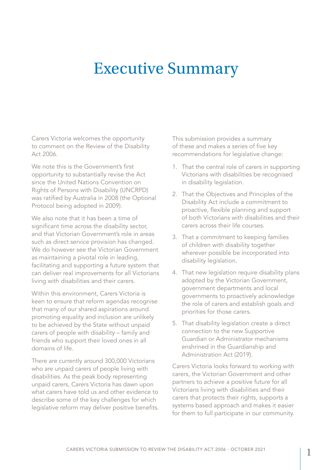# Executive Summary

Carers Victoria welcomes the opportunity to comment on the Review of the Disability Act 2006.

We note this is the Government's first opportunity to substantially revise the Act since the United Nations Convention on Rights of Persons with Disability (UNCRPD) was ratified by Australia in 2008 (the Optional Protocol being adopted in 2009).

We also note that it has been a time of significant time across the disability sector, and that Victorian Government's role in areas such as direct service provision has changed. We do however see the Victorian Government as maintaining a pivotal role in leading, facilitating and supporting a future system that can deliver real improvements for all Victorians living with disabilities and their carers.

Within this environment, Carers Victoria is keen to ensure that reform agendas recognise that many of our shared aspirations around promoting equality and inclusion are unlikely to be achieved by the State without unpaid carers of people with disability – family and friends who support their loved ones in all domains of life.

There are currently around 300,000 Victorians who are unpaid carers of people living with disabilities. As the peak body representing unpaid carers, Carers Victoria has dawn upon what carers have told us and other evidence to describe some of the key challenges for which legislative reform may deliver positive benefits. This submission provides a summary of these and makes a series of five key recommendations for legislative change:

- 1. That the central role of carers in supporting Victorians with disabilities be recognised in disability legislation.
- 2. That the Objectives and Principles of the Disability Act include a commitment to proactive, flexible planning and support of both Victorians with disabilities and their carers across their life courses.
- 3. That a commitment to keeping families of children with disability together wherever possible be incorporated into disability legislation.
- 4. That new legislation require disability plans adopted by the Victorian Government, government departments and local governments to proactively acknowledge the role of carers and establish goals and priorities for those carers.
- 5. That disability legislation create a direct connection to the new Supportive Guardian or Administrator mechanisms enshrined in the Guardianship and Administration Act (2019).

Carers Victoria looks forward to working with carers, the Victorian Government and other partners to achieve a positive future for all Victorians living with disabilities and their carers that protects their rights, supports a systems based approach and makes it easier for them to full participate in our community.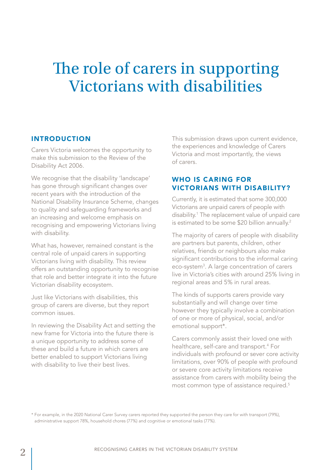# The role of carers in supporting Victorians with disabilities

### INTRODUCTION

Carers Victoria welcomes the opportunity to make this submission to the Review of the Disability Act 2006.

We recognise that the disability 'landscape' has gone through significant changes over recent years with the introduction of the National Disability Insurance Scheme, changes to quality and safeguarding frameworks and an increasing and welcome emphasis on recognising and empowering Victorians living with disability.

What has, however, remained constant is the central role of unpaid carers in supporting Victorians living with disability. This review offers an outstanding opportunity to recognise that role and better integrate it into the future Victorian disability ecosystem.

Just like Victorians with disabilities, this group of carers are diverse, but they report common issues.

In reviewing the Disability Act and setting the new frame for Victoria into the future there is a unique opportunity to address some of these and build a future in which carers are better enabled to support Victorians living with disability to live their best lives.

This submission draws upon current evidence, the experiences and knowledge of Carers Victoria and most importantly, the views of carers.

### WHO IS CARING FOR VICTORIANS WITH DISABILITY?

Currently, it is estimated that some 300,000 Victorians are unpaid carers of people with disability.<sup>1</sup> The replacement value of unpaid care is estimated to be some \$20 billion annually.<sup>2</sup>

The majority of carers of people with disability are partners but parents, children, other relatives, friends or neighbours also make significant contributions to the informal caring eco-system<sup>3</sup>. A large concentration of carers live in Victoria's cities with around 25% living in regional areas and 5% in rural areas.

The kinds of supports carers provide vary substantially and will change over time however they typically involve a combination of one or more of physical, social, and/or emotional support\*.

Carers commonly assist their loved one with healthcare, self-care and transport.<sup>4</sup> For individuals with profound or sever core activity limitations, over 90% of people with profound or severe core activity limitations receive assistance from carers with mobility being the most common type of assistance required.<sup>5</sup>

\* For example, in the 2020 National Carer Survey carers reported they supported the person they care for with transport (79%), administrative support 78%, household chores (77%) and cognitive or emotional tasks (77%).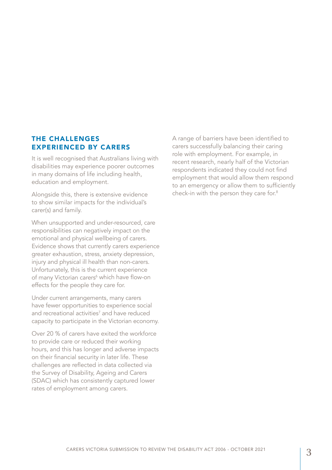### THE CHALLENGES EXPERIENCED BY CARERS

It is well recognised that Australians living with disabilities may experience poorer outcomes in many domains of life including health, education and employment.

Alongside this, there is extensive evidence to show similar impacts for the individual's carer(s) and family.

When unsupported and under-resourced, care responsibilities can negatively impact on the emotional and physical wellbeing of carers. Evidence shows that currently carers experience greater exhaustion, stress, anxiety depression, injury and physical ill health than non-carers. Unfortunately, this is the current experience of many Victorian carers<sup>6</sup> which have flow-on effects for the people they care for.

Under current arrangements, many carers have fewer opportunities to experience social and recreational activities<sup>7</sup> and have reduced capacity to participate in the Victorian economy.

Over 20 % of carers have exited the workforce to provide care or reduced their working hours, and this has longer and adverse impacts on their financial security in later life. These challenges are reflected in data collected via the Survey of Disability, Ageing and Carers (SDAC) which has consistently captured lower rates of employment among carers.

A range of barriers have been identified to carers successfully balancing their caring role with employment. For example, in recent research, nearly half of the Victorian respondents indicated they could not find employment that would allow them respond to an emergency or allow them to sufficiently check-in with the person they care for.8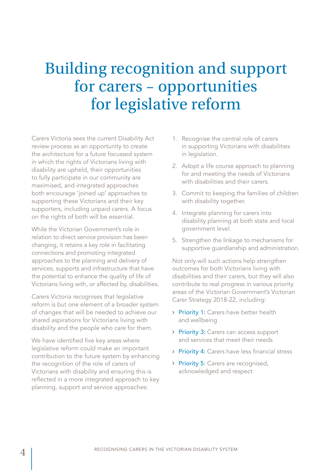# Building recognition and support for carers – opportunities for legislative reform

Carers Victoria sees the current Disability Act review process as an opportunity to create the architecture for a future focussed system in which the rights of Victorians living with disability are upheld, their opportunities to fully participate in our community are maximised, and integrated approaches both encourage 'joined up' approaches to supporting these Victorians and their key supporters, including unpaid carers. A focus on the rights of both will be essential.

While the Victorian Government's role in relation to direct service provision has been changing, it retains a key role in facilitating connections and promoting integrated approaches to the planning and delivery of services, supports and infrastructure that have the potential to enhance the quality of life of Victorians living with, or affected by, disabilities.

Carers Victoria recognises that legislative reform is but one element of a broader system of changes that will be needed to achieve our shared aspirations for Victorians living with disability and the people who care for them.

We have identified five key areas where legislative reform could make an important contribution to the future system by enhancing the recognition of the role of carers of Victorians with disability and ensuring this is reflected in a more integrated approach to key planning, support and service approaches:

- 1. Recognise the central role of carers in supporting Victorians with disabilities in legislation.
- 2. Adopt a life course approach to planning for and meeting the needs of Victorians with disabilities and their carers.
- 3. Commit to keeping the families of children with disability together.
- 4. Integrate planning for carers into disability planning at both state and local government level.
- 5. Strengthen the linkage to mechanisms for supportive guardianship and administration.

Not only will such actions help strengthen outcomes for both Victorians living with disabilities and their carers, but they will also contribute to real progress in various priority areas of the Victorian Government's Victorian Carer Strategy 2018-22, including:

- › Priority 1: Carers have better health and wellbeing
- › Priority 3: Carers can access support and services that meet their needs
- › Priority 4: Carers have less financial stress
- > Priority 5: Carers are recognised, acknowledged and respect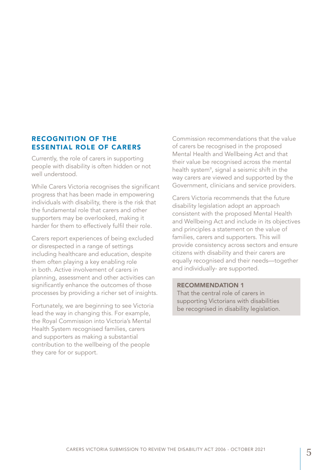### RECOGNITION OF THE ESSENTIAL ROLE OF CARERS

Currently, the role of carers in supporting people with disability is often hidden or not well understood.

While Carers Victoria recognises the significant progress that has been made in empowering individuals with disability, there is the risk that the fundamental role that carers and other supporters may be overlooked, making it harder for them to effectively fulfil their role.

Carers report experiences of being excluded or disrespected in a range of settings including healthcare and education, despite them often playing a key enabling role in both. Active involvement of carers in planning, assessment and other activities can significantly enhance the outcomes of those processes by providing a richer set of insights.

Fortunately, we are beginning to see Victoria lead the way in changing this. For example, the Royal Commission into Victoria's Mental Health System recognised families, carers and supporters as making a substantial contribution to the wellbeing of the people they care for or support.

Commission recommendations that the value of carers be recognised in the proposed Mental Health and Wellbeing Act and that their value be recognised across the mental health system<sup>9</sup>, signal a seismic shift in the way carers are viewed and supported by the Government, clinicians and service providers.

Carers Victoria recommends that the future disability legislation adopt an approach consistent with the proposed Mental Health and Wellbeing Act and include in its objectives and principles a statement on the value of families, carers and supporters. This will provide consistency across sectors and ensure citizens with disability and their carers are equally recognised and their needs—together and individually- are supported.

#### RECOMMENDATION 1

That the central role of carers in supporting Victorians with disabilities be recognised in disability legislation.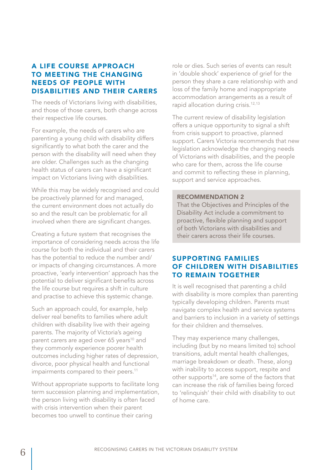## A LIFE COURSE APPROACH TO MEETING THE CHANGING NEEDS OF PEOPLE WITH DISABILITIES AND THEIR CARERS

The needs of Victorians living with disabilities, and those of those carers, both change across their respective life courses.

For example, the needs of carers who are parenting a young child with disability differs significantly to what both the carer and the person with the disability will need when they are older. Challenges such as the changing health status of carers can have a significant impact on Victorians living with disabilities.

While this may be widely recognised and could be proactively planned for and managed, the current environment does not actually do so and the result can be problematic for all involved when there are significant changes.

Creating a future system that recognises the importance of considering needs across the life course for both the individual and their carers has the potential to reduce the number and/ or impacts of changing circumstances. A more proactive, 'early intervention' approach has the potential to deliver significant benefits across the life course but requires a shift in culture and practise to achieve this systemic change.

Such an approach could, for example, help deliver real benefits to families where adult children with disability live with their ageing parents. The majority of Victoria's ageing parent carers are aged over 65 years<sup>10</sup> and they commonly experience poorer health outcomes including higher rates of depression, divorce, poor physical health and functional impairments compared to their peers.<sup>11</sup>

Without appropriate supports to facilitate long term succession planning and implementation, the person living with disability is often faced with crisis intervention when their parent becomes too unwell to continue their caring

role or dies. Such series of events can result in 'double shock' experience of grief for the person they share a care relationship with and loss of the family home and inappropriate accommodation arrangements as a result of rapid allocation during crisis.<sup>12,13</sup>

The current review of disability legislation offers a unique opportunity to signal a shift from crisis support to proactive, planned support. Carers Victoria recommends that new legislation acknowledge the changing needs of Victorians with disabilities, and the people who care for them, across the life course and commit to reflecting these in planning, support and service approaches.

#### RECOMMENDATION 2

That the Objectives and Principles of the Disability Act include a commitment to proactive, flexible planning and support of both Victorians with disabilities and their carers across their life courses.

### SUPPORTING FAMILIES OF CHILDREN WITH DISABILITIES TO REMAIN TOGETHER

It is well recognised that parenting a child with disability is more complex than parenting typically developing children. Parents must navigate complex health and service systems and barriers to inclusion in a variety of settings for their children and themselves.

They may experience many challenges, including (but by no means limited to) school transitions, adult mental health challenges, marriage breakdown or death. These, along with inability to access support, respite and other supports<sup>14</sup>, are some of the factors that can increase the risk of families being forced to 'relinquish' their child with disability to out of home care.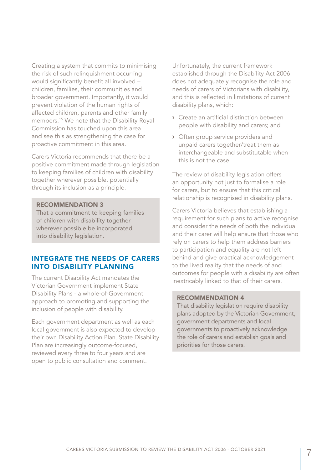Creating a system that commits to minimising the risk of such relinquishment occurring would significantly benefit all involved – children, families, their communities and broader government. Importantly, it would prevent violation of the human rights of affected children, parents and other family members.<sup>15</sup> We note that the Disability Royal Commission has touched upon this area and see this as strengthening the case for proactive commitment in this area.

Carers Victoria recommends that there be a positive commitment made through legislation to keeping families of children with disability together wherever possible, potentially through its inclusion as a principle.

#### RECOMMENDATION 3

That a commitment to keeping families of children with disability together wherever possible be incorporated into disability legislation.

### INTEGRATE THE NEEDS OF CARERS INTO DISABILITY PLANNING

The current Disability Act mandates the Victorian Government implement State Disability Plans - a whole-of-Government approach to promoting and supporting the inclusion of people with disability.

Each government department as well as each local government is also expected to develop their own Disability Action Plan. State Disability Plan are increasingly outcome-focused, reviewed every three to four years and are open to public consultation and comment.

Unfortunately, the current framework established through the Disability Act 2006 does not adequately recognise the role and needs of carers of Victorians with disability, and this is reflected in limitations of current disability plans, which:

- › Create an artificial distinction between people with disability and carers; and
- › Often group service providers and unpaid carers together/treat them as interchangeable and substitutable when this is not the case.

The review of disability legislation offers an opportunity not just to formalise a role for carers, but to ensure that this critical relationship is recognised in disability plans.

Carers Victoria believes that establishing a requirement for such plans to active recognise and consider the needs of both the individual and their carer will help ensure that those who rely on carers to help them address barriers to participation and equality are not left behind and give practical acknowledgement to the lived reality that the needs of and outcomes for people with a disability are often inextricably linked to that of their carers.

#### RECOMMENDATION 4

That disability legislation require disability plans adopted by the Victorian Government, government departments and local governments to proactively acknowledge the role of carers and establish goals and priorities for those carers.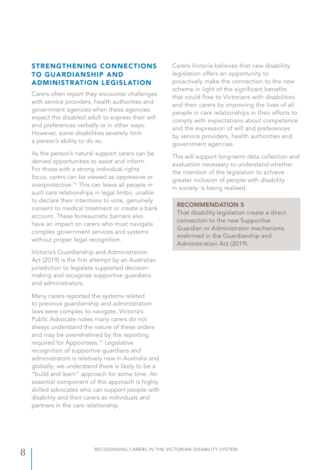### STRENGTHENING CONNECTIONS TO GUARDIANSHIP AND ADMINISTRATION LEGISLATION

Carers often report they encounter challenges with service providers, health authorities and government agencies when these agencies expect the disabled adult to express their will and preferences verbally or in other ways. However, some disabilities severely limit a person's ability to do so.

As the person's natural support carers can be denied opportunities to assist and inform. For those with a strong individual rights focus, carers can be viewed as oppressive or overprotective.16 This can leave all people in such care relationships in legal limbo, unable to declare their intentions to vote, genuinely consent to medical treatment or create a bank account. These bureaucratic barriers also have an impact on carers who must navigate complex government services and systems without proper legal recognition.

Victoria's Guardianship and Administration Act (2019) is the first attempt by an Australian jurisdiction to legislate supported decisionmaking and recognise supportive guardians and administrators.

Many carers reported the systems related to previous guardianship and administration laws were complex to navigate. Victoria's Public Advocate notes many carers do not always understand the nature of these orders and may be overwhelmed by the reporting required for Appointees.<sup>17</sup> Legislative recognition of supportive guardians and administrators is relatively new in Australia and globally; we understand there is likely to be a "build and learn" approach for some time. An essential component of this approach is highly skilled advocates who can support people with disability and their carers as individuals and partners in the care relationship.

Carers Victoria believes that new disability legislation offers an opportunity to proactively make the connection to the new scheme in light of the significant benefits that could flow to Victorians with disabilities and their carers by improving the lives of all people in care relationships in their efforts to comply with expectations about competence and the expression of will and preferences by service providers, health authorities and government agencies.

This will support long-term data collection and evaluation necessary to understand whether the intention of the legislation to achieve greater inclusion of people with disability in society. is being realised.

#### RECOMMENDATION 5

That disability legislation create a direct connection to the new Supportive Guardian or Administrator mechanisms enshrined in the Guardianship and Administration Act (2019).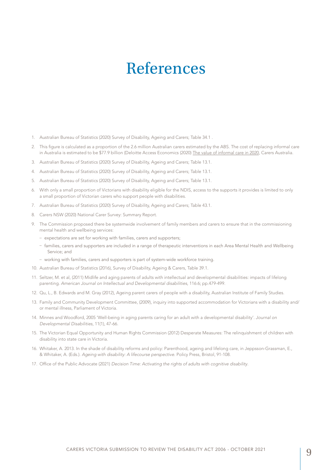# References

- 1. Australian Bureau of Statistics (2020) Survey of Disability, Ageing and Carers; Table 34.1 .
- 2. This figure is calculated as a proportion of the 2.6 million Australian carers estimated by the ABS. The cost of replacing informal care in Australia is estimated to be \$77.9 billion (Deloitte Access Economics (2020) The value of informal care in 2020, Carers Australia.
- 3. Australian Bureau of Statistics (2020) Survey of Disability, Ageing and Carers; Table 13.1.
- 4. Australian Bureau of Statistics (2020) Survey of Disability, Ageing and Carers; Table 13.1.
- 5. Australian Bureau of Statistics (2020) Survey of Disability, Ageing and Carers; Table 13.1.
- 6. With only a small proportion of Victorians with disability eligible for the NDIS, access to the supports it provides is limited to only a small proportion of Victorian carers who support people with disabilities.
- 7. Australian Bureau of Statistics (2020) Survey of Disability, Ageing and Carers; Table 43.1.
- 8. Carers NSW (2020) National Carer Survey: Summary Report.
- 9. The Commission proposed there be systemwide involvement of family members and carers to ensure that in the commissioning mental health and wellbeing services:
	- expectations are set for working with families, carers and supporters;
	- families, carers and supporters are included in a range of therapeutic interventions in each Area Mental Health and Wellbeing Service; and
	- working with families, carers and supporters is part of system-wide workforce training.
- 10. Australian Bureau of Statistics (2016), Survey of Disability, Ageing & Carers, Table 39.1.
- 11. Seltzer, M. et al, (2011) Midlife and aging parents of adults with intellectual and developmental disabilities: impacts of lifelong parenting. *American Journal on Intellectual and Developmental disabilities*, 116:6; pp.479-499.
- 12. Qu, L., B. Edwards and M. Gray (2012), Ageing parent carers of people with a disability, Australian Institute of Family Studies.
- 13. Family and Community Development Committee, (2009), inquiry into supported accommodation for Victorians with a disability and/ or mental illness, Parliament of Victoria.
- 14. Minnes and Woodford, 2005 'Well-being in aging parents caring for an adult with a developmental disability'. *Journal on Developmental Disabilities*, 11(1), 47-66.
- 15. The Victorian Equal Opportunity and Human Rights Commission (2012) Desperate Measures: The relinquishment of children with disability into state care in Victoria.
- 16. Whitaker, A. 2013. In the shade of disability reforms and policy: Parenthood, ageing and lifelong care, in Jeppsson-Grassman, E., & Whitaker, A. (Eds.). *Ageing with disability: A lifecourse perspective*. Policy Press, Bristol, 91-108.
- 17. Office of the Public Advocate (2021) *Decision Time: Activating the rights of adults with cognitive disability*.